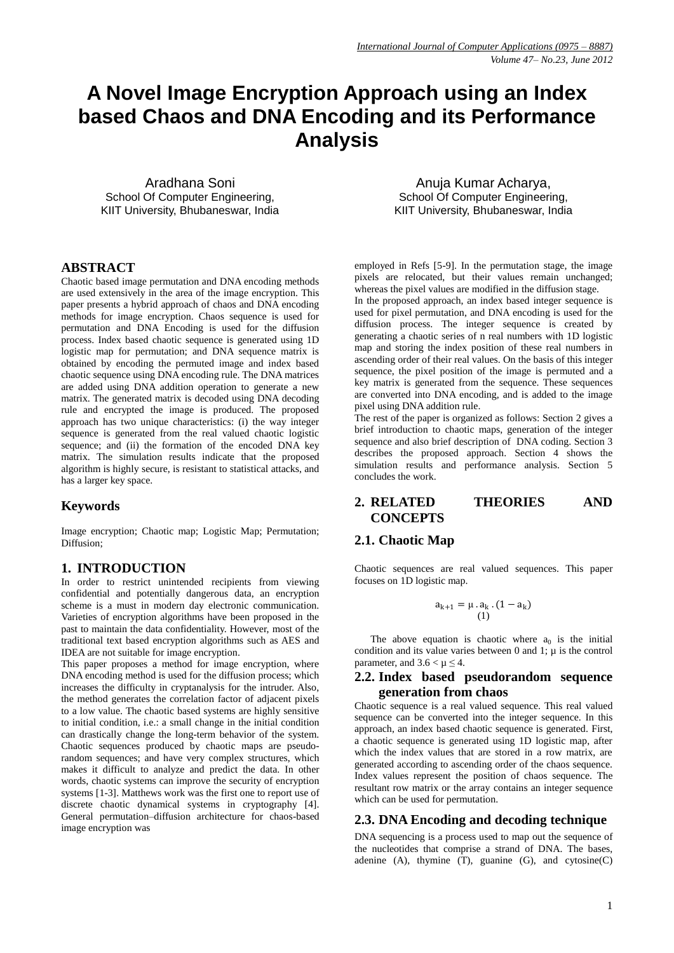# **A Novel Image Encryption Approach using an Index based Chaos and DNA Encoding and its Performance Analysis**

Aradhana Soni School Of Computer Engineering, KIIT University, Bhubaneswar, India

Anuja Kumar Acharya, School Of Computer Engineering, KIIT University, Bhubaneswar, India

## **ABSTRACT**

Chaotic based image permutation and DNA encoding methods are used extensively in the area of the image encryption. This paper presents a hybrid approach of chaos and DNA encoding methods for image encryption. Chaos sequence is used for permutation and DNA Encoding is used for the diffusion process. Index based chaotic sequence is generated using 1D logistic map for permutation; and DNA sequence matrix is obtained by encoding the permuted image and index based chaotic sequence using DNA encoding rule. The DNA matrices are added using DNA addition operation to generate a new matrix. The generated matrix is decoded using DNA decoding rule and encrypted the image is produced. The proposed approach has two unique characteristics: (i) the way integer sequence is generated from the real valued chaotic logistic sequence; and (ii) the formation of the encoded DNA key matrix. The simulation results indicate that the proposed algorithm is highly secure, is resistant to statistical attacks, and has a larger key space.

## **Keywords**

Image encryption; Chaotic map; Logistic Map; Permutation; Diffusion;

## **1. INTRODUCTION**

In order to restrict unintended recipients from viewing confidential and potentially dangerous data, an encryption scheme is a must in modern day electronic communication. Varieties of encryption algorithms have been proposed in the past to maintain the data confidentiality. However, most of the traditional text based encryption algorithms such as AES and IDEA are not suitable for image encryption.

This paper proposes a method for image encryption, where DNA encoding method is used for the diffusion process; which increases the difficulty in cryptanalysis for the intruder. Also, the method generates the correlation factor of adjacent pixels to a low value. The chaotic based systems are highly sensitive to initial condition, i.e.: a small change in the initial condition can drastically change the long-term behavior of the system. Chaotic sequences produced by chaotic maps are pseudorandom sequences; and have very complex structures, which makes it difficult to analyze and predict the data. In other words, chaotic systems can improve the security of encryption systems [1-3]. Matthews work was the first one to report use of discrete chaotic dynamical systems in cryptography [4]. General permutation–diffusion architecture for chaos-based image encryption was

employed in Refs [5-9]. In the permutation stage, the image pixels are relocated, but their values remain unchanged; whereas the pixel values are modified in the diffusion stage.

In the proposed approach, an index based integer sequence is used for pixel permutation, and DNA encoding is used for the diffusion process. The integer sequence is created by generating a chaotic series of n real numbers with 1D logistic map and storing the index position of these real numbers in ascending order of their real values. On the basis of this integer sequence, the pixel position of the image is permuted and a key matrix is generated from the sequence. These sequences are converted into DNA encoding, and is added to the image pixel using DNA addition rule.

The rest of the paper is organized as follows: Section 2 gives a brief introduction to chaotic maps, generation of the integer sequence and also brief description of DNA coding. Section 3 describes the proposed approach. Section 4 shows the simulation results and performance analysis. Section 5 concludes the work.

# **2. RELATED THEORIES AND CONCEPTS**

# **2.1. Chaotic Map**

Chaotic sequences are real valued sequences. This paper focuses on 1D logistic map.

$$
a_{k+1}=\mu\, .\, a_k\, .\, (1-a_k)\\ (1)
$$

The above equation is chaotic where  $a_0$  is the initial condition and its value varies between  $0$  and  $1$ ;  $\mu$  is the control parameter, and  $3.6 < \mu \leq 4$ .

#### **2.2. Index based pseudorandom sequence generation from chaos**

Chaotic sequence is a real valued sequence. This real valued sequence can be converted into the integer sequence. In this approach, an index based chaotic sequence is generated. First, a chaotic sequence is generated using 1D logistic map, after which the index values that are stored in a row matrix, are generated according to ascending order of the chaos sequence. Index values represent the position of chaos sequence. The resultant row matrix or the array contains an integer sequence which can be used for permutation.

# **2.3. DNA Encoding and decoding technique**

DNA sequencing is a process used to map out the sequence of the nucleotides that comprise a strand of DNA. The bases, adenine  $(A)$ , thymine  $(T)$ , guanine  $(G)$ , and cytosine $(C)$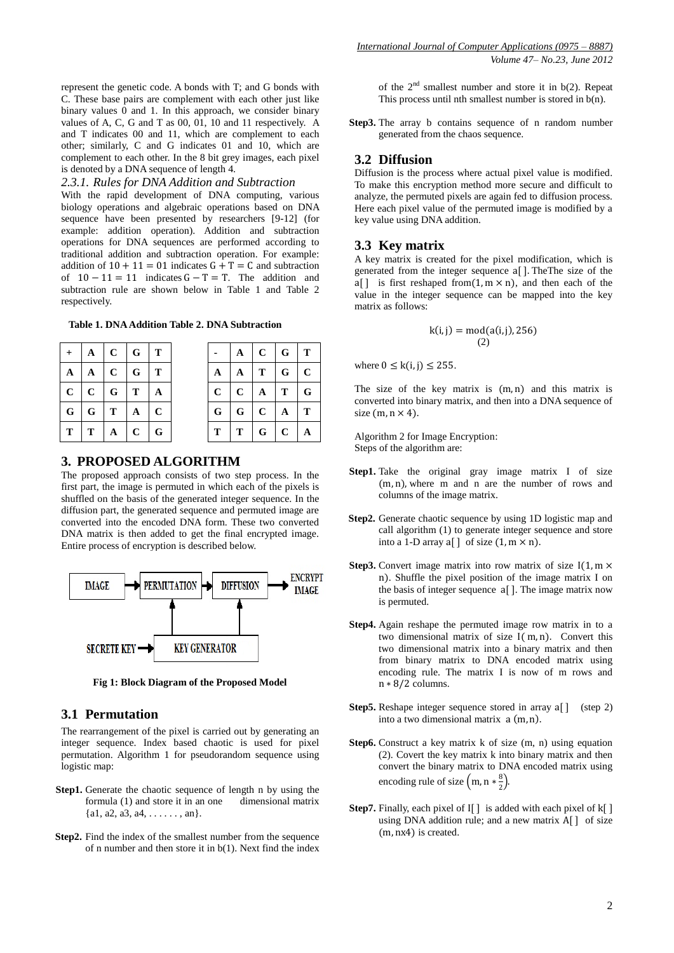represent the genetic code. A bonds with T; and G bonds with C. These base pairs are complement with each other just like binary values 0 and 1. In this approach, we consider binary values of A, C, G and T as 00, 01, 10 and 11 respectively. A and T indicates 00 and 11, which are complement to each other; similarly, C and G indicates 01 and 10, which are complement to each other. In the 8 bit grey images, each pixel is denoted by a DNA sequence of length 4.

#### *2.3.1. Rules for DNA Addition and Subtraction*

With the rapid development of DNA computing, various biology operations and algebraic operations based on DNA sequence have been presented by researchers [9-12] (for example: addition operation). Addition and subtraction operations for DNA sequences are performed according to traditional addition and subtraction operation. For example: addition of  $10 + 11 = 01$  indicates  $G + T = C$  and subtraction of  $10 - 11 = 11$  indicates  $G - T = T$ . The addition and subtraction rule are shown below in Table 1 and Table 2 respectively.

|                       | $+$ $\mathbf{A}$ $\mathbf{C}$ $\mathbf{G}$ $\mathbf{T}$ |                         |
|-----------------------|---------------------------------------------------------|-------------------------|
|                       | $A \mid A \mid C \mid G \mid T$                         |                         |
|                       | C C G T A                                               |                         |
|                       | G G T A                                                 | $\overline{\mathbf{c}}$ |
| $T$ $\vert T \vert$ A |                                                         |                         |

| <b>Table 1. DNA Addition Table 2. DNA Subtraction</b> |  |  |  |
|-------------------------------------------------------|--|--|--|
|-------------------------------------------------------|--|--|--|

|                                   | $+$ $\begin{array}{c c c c c c c c} \hline \end{array}$ + $\begin{array}{c c c c c}$ + $\end{array}$ + $\begin{array}{c c c c}$ |   |             |              |                     | $A \mid C \mid G \mid T$ |   |                |
|-----------------------------------|---------------------------------------------------------------------------------------------------------------------------------|---|-------------|--------------|---------------------|--------------------------|---|----------------|
| $\mathbf{A} \parallel \mathbf{A}$ | c G                                                                                                                             |   |             | $\mathbf{A}$ |                     | $A$ $T$ $G$              |   | $\overline{c}$ |
|                                   | $C$ $C$ $G$ $T$                                                                                                                 |   |             |              | $C$ $C$ $A$ $T$ $G$ |                          |   |                |
|                                   | $G \mid G \mid T \mid A$                                                                                                        |   | $\mathbf C$ | G            |                     | $G \mid C \mid A$        |   | $\mathbf{T}$   |
| $T$ $T$ $A$                       |                                                                                                                                 | c | G           |              | $T$ $T$ $G$         |                          | c |                |

#### **3. PROPOSED ALGORITHM**

The proposed approach consists of two step process. In the first part, the image is permuted in which each of the pixels is shuffled on the basis of the generated integer sequence. In the diffusion part, the generated sequence and permuted image are converted into the encoded DNA form. These two converted DNA matrix is then added to get the final encrypted image. Entire process of encryption is described below.



**Fig 1: Block Diagram of the Proposed Model**

#### **3.1 Permutation**

The rearrangement of the pixel is carried out by generating an integer sequence. Index based chaotic is used for pixel permutation. Algorithm 1 for pseudorandom sequence using logistic map:

- **Step1.** Generate the chaotic sequence of length n by using the formula (1) and store it in an one dimensional matrix  ${a1, a2, a3, a4, \ldots, a_n}$ .
- **Step2.** Find the index of the smallest number from the sequence of n number and then store it in b(1). Next find the index

of the  $2<sup>nd</sup>$  smallest number and store it in  $b(2)$ . Repeat This process until nth smallest number is stored in  $b(n)$ .

**Step3.** The array b contains sequence of n random number generated from the chaos sequence.

#### **3.2 Diffusion**

Diffusion is the process where actual pixel value is modified. To make this encryption method more secure and difficult to analyze, the permuted pixels are again fed to diffusion process. Here each pixel value of the permuted image is modified by a key value using DNA addition.

#### **3.3 Key matrix**

A key matrix is created for the pixel modification, which is generated from the integer sequence  $a$ . The The size of the a[ ] is first reshaped from $(1, m \times n)$ , and then each of the value in the integer sequence can be mapped into the key matrix as follows:

$$
k(i, j) = mod(a(i, j), 256)
$$
  
(2)

where  $0 \leq k(i, j) \leq 255$ .

The size of the key matrix is  $(m, n)$  and this matrix is converted into binary matrix, and then into a DNA sequence of size  $(m, n \times 4)$ .

Algorithm 2 for Image Encryption: Steps of the algorithm are:

- Step1. Take the original gray image matrix I of size (m, n), where m and n are the number of rows and columns of the image matrix.
- **Step2.** Generate chaotic sequence by using 1D logistic map and call algorithm (1) to generate integer sequence and store into a 1-D array a[] of size  $(1, m \times n)$ .
- **Step3.** Convert image matrix into row matrix of size I(1, m  $\times$ n). Shuffle the pixel position of the image matrix I on the basis of integer sequence a[ ]. The image matrix now is permuted.
- **Step4.** Again reshape the permuted image row matrix in to a two dimensional matrix of size  $I(m, n)$ . Convert this two dimensional matrix into a binary matrix and then from binary matrix to DNA encoded matrix using encoding rule. The matrix I is now of m rows and n ∗ 8/2 columns.
- **Step5.** Reshape integer sequence stored in array a<sup>[]</sup> (step 2) into a two dimensional matrix  $a(m, n)$ .
- **Step6.** Construct a key matrix k of size (m, n) using equation (2). Covert the key matrix k into binary matrix and then convert the binary matrix to DNA encoded matrix using encoding rule of size  $(m, n * \frac{8}{3})$  $\frac{6}{2}$ ).
- **Step7.** Finally, each pixel of I[ ] is added with each pixel of k[ ] using DNA addition rule; and a new matrix  $A[\ ]$  of size (m, nx4) is created.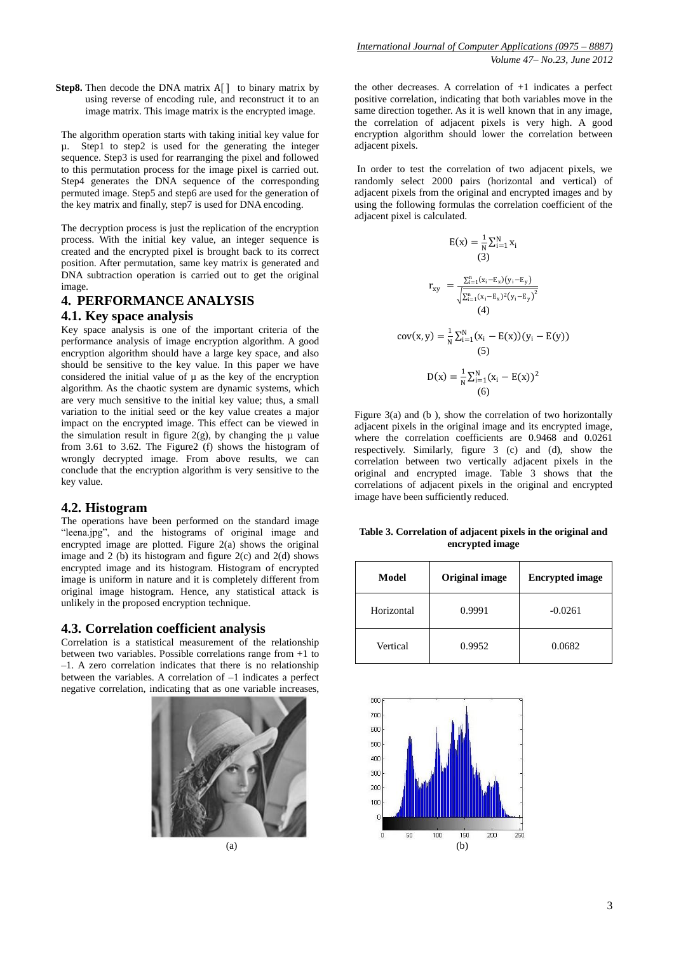**Step8.** Then decode the DNA matrix A[ ] to binary matrix by using reverse of encoding rule, and reconstruct it to an image matrix. This image matrix is the encrypted image.

The algorithm operation starts with taking initial key value for µ. Step1 to step2 is used for the generating the integer sequence. Step3 is used for rearranging the pixel and followed to this permutation process for the image pixel is carried out. Step4 generates the DNA sequence of the corresponding permuted image. Step5 and step6 are used for the generation of the key matrix and finally, step7 is used for DNA encoding.

The decryption process is just the replication of the encryption process. With the initial key value, an integer sequence is created and the encrypted pixel is brought back to its correct position. After permutation, same key matrix is generated and DNA subtraction operation is carried out to get the original image.

#### **4. PERFORMANCE ANALYSIS**

#### **4.1. Key space analysis**

Key space analysis is one of the important criteria of the performance analysis of image encryption algorithm. A good encryption algorithm should have a large key space, and also should be sensitive to the key value. In this paper we have considered the initial value of  $\mu$  as the key of the encryption algorithm. As the chaotic system are dynamic systems, which are very much sensitive to the initial key value; thus, a small variation to the initial seed or the key value creates a major impact on the encrypted image. This effect can be viewed in the simulation result in figure  $2(g)$ , by changing the  $\mu$  value from 3.61 to 3.62. The Figure2 (f) shows the histogram of wrongly decrypted image. From above results, we can conclude that the encryption algorithm is very sensitive to the key value.

#### **4.2. Histogram**

The operations have been performed on the standard image "leena.jpg", and the histograms of original image and encrypted image are plotted. Figure 2(a) shows the original image and 2 (b) its histogram and figure  $2(c)$  and  $2(d)$  shows encrypted image and its histogram. Histogram of encrypted image is uniform in nature and it is completely different from original image histogram. Hence, any statistical attack is unlikely in the proposed encryption technique.

#### **4.3. Correlation coefficient analysis**

Correlation is a statistical measurement of the relationship between two variables. Possible correlations range from +1 to –1. A zero correlation indicates that there is no relationship between the variables. A correlation of –1 indicates a perfect negative correlation, indicating that as one variable increases,





the other decreases. A correlation of +1 indicates a perfect positive correlation, indicating that both variables move in the same direction together. As it is well known that in any image, the correlation of adjacent pixels is very high. A good encryption algorithm should lower the correlation between adjacent pixels.

In order to test the correlation of two adjacent pixels, we randomly select 2000 pairs (horizontal and vertical) of adjacent pixels from the original and encrypted images and by using the following formulas the correlation coefficient of the adjacent pixel is calculated.

$$
E(x) = \frac{1}{N} \sum_{i=1}^{N} x_i
$$
  
\n(3)  
\n
$$
r_{xy} = \frac{\sum_{i=1}^{n} (x_i - E_x)(y_i - E_y)}{\sqrt{\sum_{i=1}^{n} (x_i - E_x)^2 (y_i - E_y)^2}}
$$
  
\n(4)  
\n
$$
cov(x, y) = \frac{1}{N} \sum_{i=1}^{N} (x_i - E(x))(y_i - E(y))
$$
  
\n(5)  
\n
$$
D(x) = \frac{1}{N} \sum_{i=1}^{N} (x_i - E(x))^2
$$
  
\n(6)

Figure 3(a) and (b ), show the correlation of two horizontally adjacent pixels in the original image and its encrypted image, where the correlation coefficients are 0.9468 and 0.0261 respectively. Similarly, figure 3 (c) and (d), show the correlation between two vertically adjacent pixels in the original and encrypted image. Table 3 shows that the correlations of adjacent pixels in the original and encrypted image have been sufficiently reduced.

**Table 3. Correlation of adjacent pixels in the original and encrypted image**

| Model      | <b>Original image</b> | <b>Encrypted image</b> |  |  |
|------------|-----------------------|------------------------|--|--|
| Horizontal | 0.9991                | $-0.0261$              |  |  |
| Vertical   | 0.9952                | 0.0682                 |  |  |

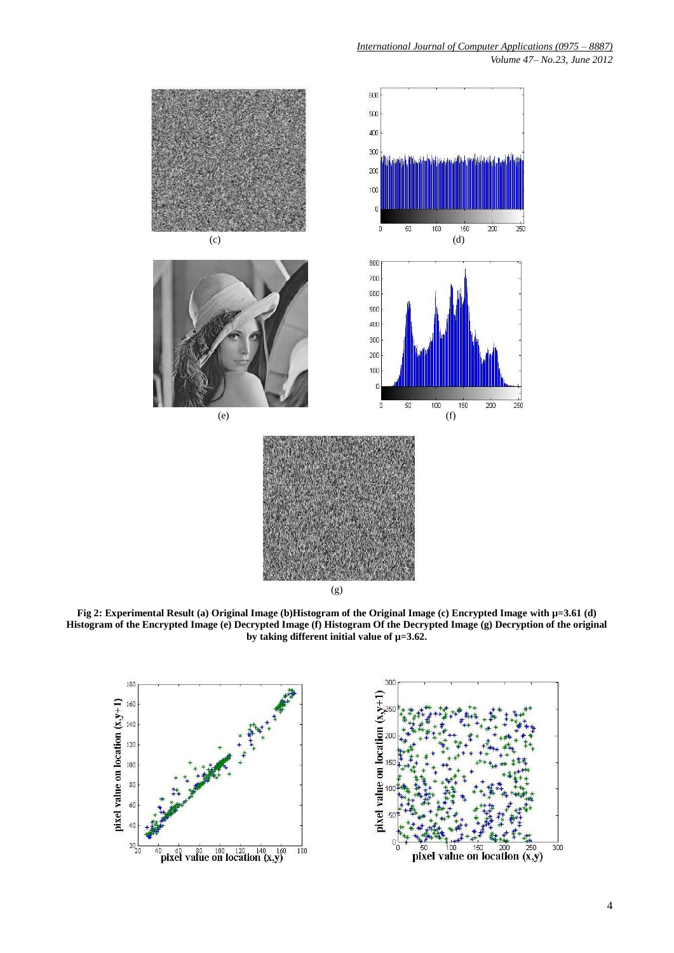

(g)

**Fig 2: Experimental Result (a) Original Image (b)Histogram of the Original Image (c) Encrypted Image with µ=3.61 (d) Histogram of the Encrypted Image (e) Decrypted Image (f) Histogram Of the Decrypted Image (g) Decryption of the original by taking different initial value of µ=3.62.**



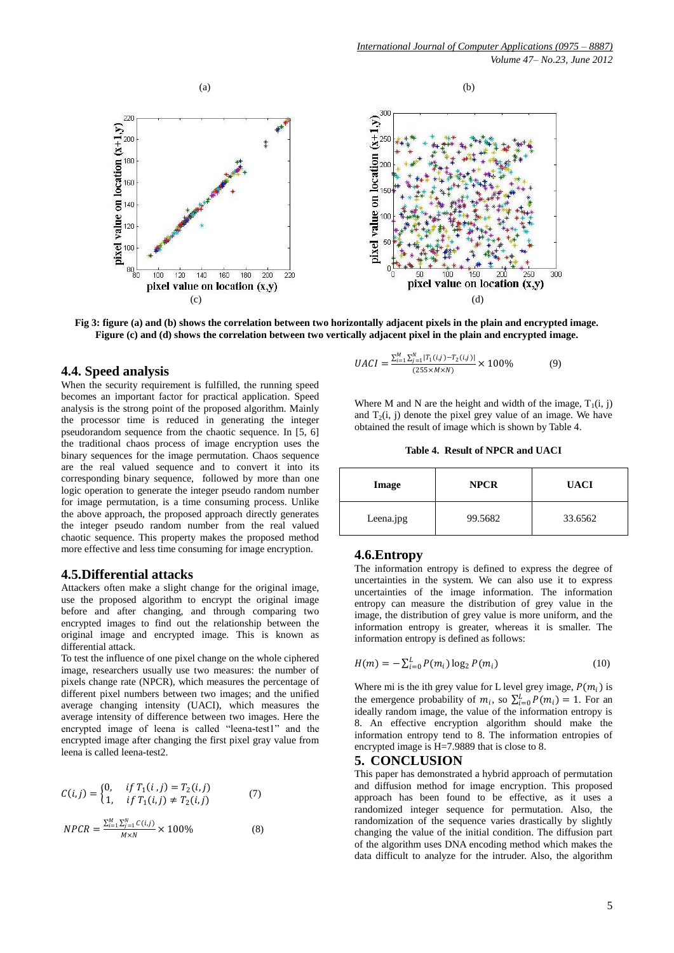

**Fig 3: figure (a) and (b) shows the correlation between two horizontally adjacent pixels in the plain and encrypted image. Figure (c) and (d) shows the correlation between two vertically adjacent pixel in the plain and encrypted image.**

#### **4.4. Speed analysis**

When the security requirement is fulfilled, the running speed becomes an important factor for practical application. Speed analysis is the strong point of the proposed algorithm. Mainly the processor time is reduced in generating the integer pseudorandom sequence from the chaotic sequence. In [5, 6] the traditional chaos process of image encryption uses the binary sequences for the image permutation. Chaos sequence are the real valued sequence and to convert it into its corresponding binary sequence, followed by more than one logic operation to generate the integer pseudo random number for image permutation, is a time consuming process. Unlike the above approach, the proposed approach directly generates the integer pseudo random number from the real valued chaotic sequence. This property makes the proposed method more effective and less time consuming for image encryption.

#### **4.5.Differential attacks**

Attackers often make a slight change for the original image, use the proposed algorithm to encrypt the original image before and after changing, and through comparing two encrypted images to find out the relationship between the original image and encrypted image. This is known as differential attack.

To test the influence of one pixel change on the whole ciphered image, researchers usually use two measures: the number of pixels change rate (NPCR), which measures the percentage of different pixel numbers between two images; and the unified average changing intensity (UACI), which measures the average intensity of difference between two images. Here the encrypted image of leena is called "leena-test1" and the encrypted image after changing the first pixel gray value from leena is called leena-test2.

$$
C(i,j) = \begin{cases} 0, & if T_1(i,j) = T_2(i,j) \\ 1, & if T_1(i,j) \neq T_2(i,j) \end{cases}
$$
(7)

$$
NPCR = \frac{\sum_{i=1}^{M} \sum_{j=1}^{N} C(i,j)}{M \times N} \times 100\%
$$
 (8)

$$
UACI = \frac{\sum_{i=1}^{M} \sum_{j=1}^{N} |T_1(i,j) - T_2(i,j)|}{(255 \times M \times N)} \times 100\%
$$
 (9)

Where M and N are the height and width of the image,  $T_1(i, j)$ and  $T_2(i, j)$  denote the pixel grey value of an image. We have obtained the result of image which is shown by Table 4.

**Table 4. Result of NPCR and UACI**

| Image     | <b>NPCR</b> | <b>UACI</b> |
|-----------|-------------|-------------|
| Leena.jpg | 99.5682     | 33.6562     |

#### **4.6.Entropy**

The information entropy is defined to express the degree of uncertainties in the system. We can also use it to express uncertainties of the image information. The information entropy can measure the distribution of grey value in the image, the distribution of grey value is more uniform, and the information entropy is greater, whereas it is smaller. The information entropy is defined as follows:

$$
H(m) = -\sum_{i=0}^{L} P(m_i) \log_2 P(m_i)
$$
 (10)

Where mi is the ith grey value for L level grey image,  $P(m_i)$  is the emergence probability of  $m_i$ , so  $\sum_{i=0}^{L} P(m_i) = 1$ . For an ideally random image, the value of the information entropy is 8. An effective encryption algorithm should make the information entropy tend to 8. The information entropies of encrypted image is H=7.9889 that is close to 8.

#### **5. CONCLUSION**

This paper has demonstrated a hybrid approach of permutation and diffusion method for image encryption. This proposed approach has been found to be effective, as it uses a randomized integer sequence for permutation. Also, the randomization of the sequence varies drastically by slightly changing the value of the initial condition. The diffusion part of the algorithm uses DNA encoding method which makes the data difficult to analyze for the intruder. Also, the algorithm